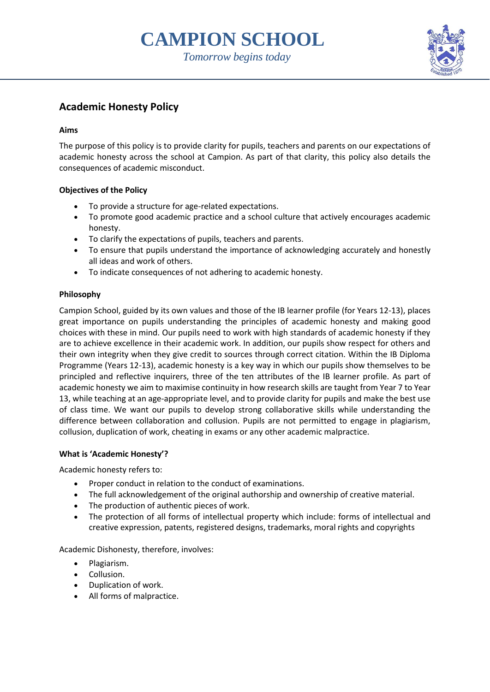# **CAMPION SCHOOL**





# **Academic Honesty Policy**

# **Aims**

The purpose of this policy is to provide clarity for pupils, teachers and parents on our expectations of academic honesty across the school at Campion. As part of that clarity, this policy also details the consequences of academic misconduct.

# **Objectives of the Policy**

- To provide a structure for age-related expectations.
- To promote good academic practice and a school culture that actively encourages academic honesty.
- To clarify the expectations of pupils, teachers and parents.
- To ensure that pupils understand the importance of acknowledging accurately and honestly all ideas and work of others.
- To indicate consequences of not adhering to academic honesty.

# **Philosophy**

Campion School, guided by its own values and those of the IB learner profile (for Years 12-13), places great importance on pupils understanding the principles of academic honesty and making good choices with these in mind. Our pupils need to work with high standards of academic honesty if they are to achieve excellence in their academic work. In addition, our pupils show respect for others and their own integrity when they give credit to sources through correct citation. Within the IB Diploma Programme (Years 12-13), academic honesty is a key way in which our pupils show themselves to be principled and reflective inquirers, three of the ten attributes of the IB learner profile. As part of academic honesty we aim to maximise continuity in how research skills are taught from Year 7 to Year 13, while teaching at an age-appropriate level, and to provide clarity for pupils and make the best use of class time. We want our pupils to develop strong collaborative skills while understanding the difference between collaboration and collusion. Pupils are not permitted to engage in plagiarism, collusion, duplication of work, cheating in exams or any other academic malpractice.

# **What is 'Academic Honesty'?**

Academic honesty refers to:

- Proper conduct in relation to the conduct of examinations.
- The full acknowledgement of the original authorship and ownership of creative material.
- The production of authentic pieces of work.
- The protection of all forms of intellectual property which include: forms of intellectual and creative expression, patents, registered designs, trademarks, moral rights and copyrights

Academic Dishonesty, therefore, involves:

- Plagiarism.
- Collusion.
- Duplication of work.
- All forms of malpractice.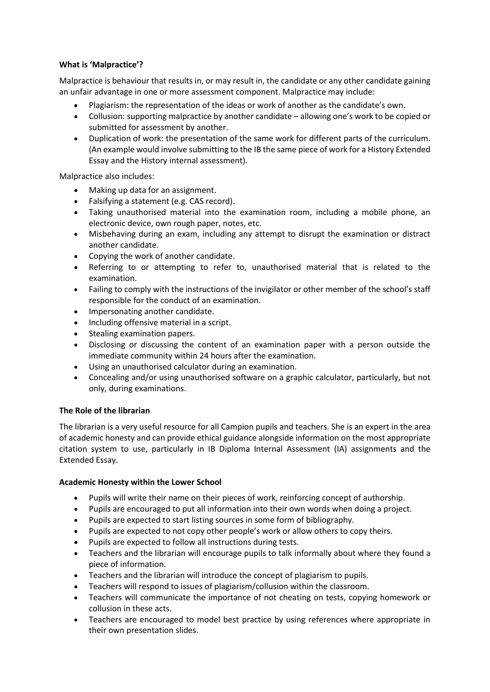## **What is 'Malpractice'?**

Malpractice is behaviour that results in, or may result in, the candidate or any other candidate gaining an unfair advantage in one or more assessment component. Malpractice may include:

- Plagiarism: the representation of the ideas or work of another as the candidate's own.
- Collusion: supporting malpractice by another candidate allowing one's work to be copied or submitted for assessment by another.
- Duplication of work: the presentation of the same work for different parts of the curriculum. (An example would involve submitting to the IB the same piece of work for a History Extended Essay and the History internal assessment).

Malpractice also includes:

- Making up data for an assignment.
- Falsifying a statement (e.g. CAS record).
- Taking unauthorised material into the examination room, including a mobile phone, an electronic device, own rough paper, notes, etc.
- Misbehaving during an exam, including any attempt to disrupt the examination or distract another candidate.
- Copying the work of another candidate.
- Referring to or attempting to refer to, unauthorised material that is related to the examination.
- Failing to comply with the instructions of the invigilator or other member of the school's staff responsible for the conduct of an examination.
- Impersonating another candidate.
- Including offensive material in a script.
- Stealing examination papers.
- Disclosing or discussing the content of an examination paper with a person outside the immediate community within 24 hours after the examination.
- Using an unauthorised calculator during an examination.
- Concealing and/or using unauthorised software on a graphic calculator, particularly, but not only, during examinations.

#### **The Role of the librarian**

The librarian is a very useful resource for all Campion pupils and teachers. She is an expert in the area of academic honesty and can provide ethical guidance alongside information on the most appropriate citation system to use, particularly in IB Diploma Internal Assessment (IA) assignments and the Extended Essay.

#### **Academic Honesty within the Lower School**

- Pupils will write their name on their pieces of work, reinforcing concept of authorship.
- Pupils are encouraged to put all information into their own words when doing a project.
- Pupils are expected to start listing sources in some form of bibliography.
- Pupils are expected to not copy other people's work or allow others to copy theirs.
- Pupils are expected to follow all instructions during tests.
- Teachers and the librarian will encourage pupils to talk informally about where they found a piece of information.
- Teachers and the librarian will introduce the concept of plagiarism to pupils.
- Teachers will respond to issues of plagiarism/collusion within the classroom.
- Teachers will communicate the importance of not cheating on tests, copying homework or collusion in these acts.
- Teachers are encouraged to model best practice by using references where appropriate in their own presentation slides.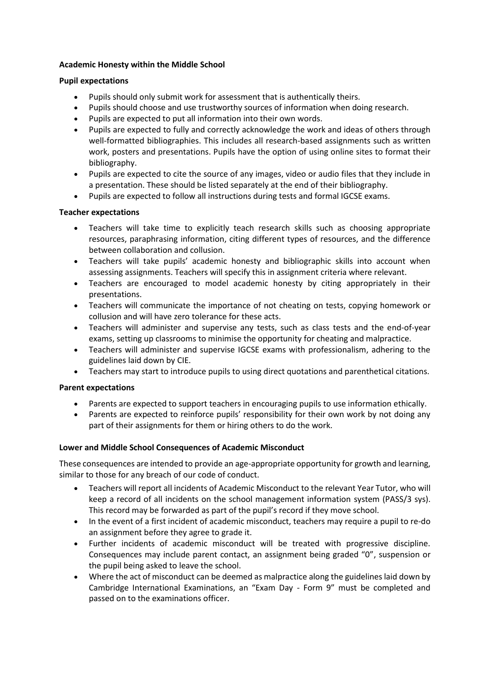#### **Academic Honesty within the Middle School**

#### **Pupil expectations**

- Pupils should only submit work for assessment that is authentically theirs.
- Pupils should choose and use trustworthy sources of information when doing research.
- Pupils are expected to put all information into their own words.
- Pupils are expected to fully and correctly acknowledge the work and ideas of others through well-formatted bibliographies. This includes all research-based assignments such as written work, posters and presentations. Pupils have the option of using online sites to format their bibliography.
- Pupils are expected to cite the source of any images, video or audio files that they include in a presentation. These should be listed separately at the end of their bibliography.
- Pupils are expected to follow all instructions during tests and formal IGCSE exams.

#### **Teacher expectations**

- Teachers will take time to explicitly teach research skills such as choosing appropriate resources, paraphrasing information, citing different types of resources, and the difference between collaboration and collusion.
- Teachers will take pupils' academic honesty and bibliographic skills into account when assessing assignments. Teachers will specify this in assignment criteria where relevant.
- Teachers are encouraged to model academic honesty by citing appropriately in their presentations.
- Teachers will communicate the importance of not cheating on tests, copying homework or collusion and will have zero tolerance for these acts.
- Teachers will administer and supervise any tests, such as class tests and the end-of-year exams, setting up classrooms to minimise the opportunity for cheating and malpractice.
- Teachers will administer and supervise IGCSE exams with professionalism, adhering to the guidelines laid down by CIE.
- Teachers may start to introduce pupils to using direct quotations and parenthetical citations.

#### **Parent expectations**

- Parents are expected to support teachers in encouraging pupils to use information ethically.
- Parents are expected to reinforce pupils' responsibility for their own work by not doing any part of their assignments for them or hiring others to do the work.

#### **Lower and Middle School Consequences of Academic Misconduct**

These consequences are intended to provide an age-appropriate opportunity for growth and learning, similar to those for any breach of our code of conduct.

- Teachers will report all incidents of Academic Misconduct to the relevant Year Tutor, who will keep a record of all incidents on the school management information system (PASS/3 sys). This record may be forwarded as part of the pupil's record if they move school.
- In the event of a first incident of academic misconduct, teachers may require a pupil to re-do an assignment before they agree to grade it.
- Further incidents of academic misconduct will be treated with progressive discipline. Consequences may include parent contact, an assignment being graded "0", suspension or the pupil being asked to leave the school.
- Where the act of misconduct can be deemed as malpractice along the guidelines laid down by Cambridge International Examinations, an "Exam Day - Form 9" must be completed and passed on to the examinations officer.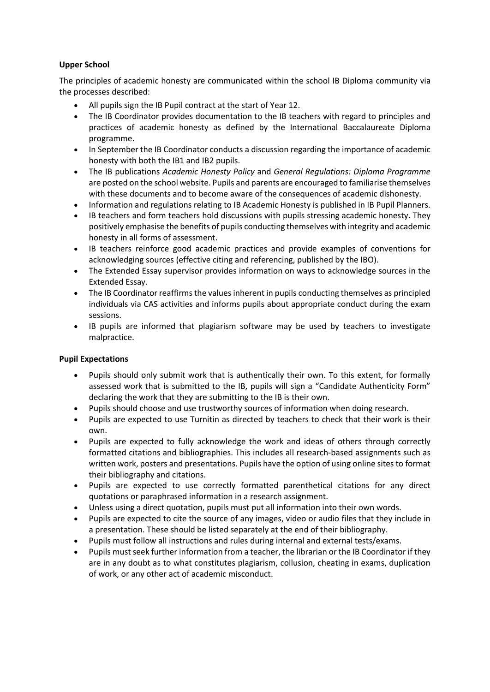# **Upper School**

The principles of academic honesty are communicated within the school IB Diploma community via the processes described:

- All pupils sign the IB Pupil contract at the start of Year 12.
- The IB Coordinator provides documentation to the IB teachers with regard to principles and practices of academic honesty as defined by the International Baccalaureate Diploma programme.
- In September the IB Coordinator conducts a discussion regarding the importance of academic honesty with both the IB1 and IB2 pupils.
- The IB publications *Academic Honesty Policy* and *General Regulations: Diploma Programme* are posted on the school website. Pupils and parents are encouraged to familiarise themselves with these documents and to become aware of the consequences of academic dishonesty.
- Information and regulations relating to IB Academic Honesty is published in IB Pupil Planners.
- IB teachers and form teachers hold discussions with pupils stressing academic honesty. They positively emphasise the benefits of pupils conducting themselves with integrity and academic honesty in all forms of assessment.
- IB teachers reinforce good academic practices and provide examples of conventions for acknowledging sources (effective citing and referencing, published by the IBO).
- The Extended Essay supervisor provides information on ways to acknowledge sources in the Extended Essay.
- The IB Coordinator reaffirms the values inherent in pupils conducting themselves as principled individuals via CAS activities and informs pupils about appropriate conduct during the exam sessions.
- IB pupils are informed that plagiarism software may be used by teachers to investigate malpractice.

# **Pupil Expectations**

- Pupils should only submit work that is authentically their own. To this extent, for formally assessed work that is submitted to the IB, pupils will sign a "Candidate Authenticity Form" declaring the work that they are submitting to the IB is their own.
- Pupils should choose and use trustworthy sources of information when doing research.
- Pupils are expected to use Turnitin as directed by teachers to check that their work is their own.
- Pupils are expected to fully acknowledge the work and ideas of others through correctly formatted citations and bibliographies. This includes all research-based assignments such as written work, posters and presentations. Pupils have the option of using online sites to format their bibliography and citations.
- Pupils are expected to use correctly formatted parenthetical citations for any direct quotations or paraphrased information in a research assignment.
- Unless using a direct quotation, pupils must put all information into their own words.
- Pupils are expected to cite the source of any images, video or audio files that they include in a presentation. These should be listed separately at the end of their bibliography.
- Pupils must follow all instructions and rules during internal and external tests/exams.
- Pupils must seek further information from a teacher, the librarian or the IB Coordinator if they are in any doubt as to what constitutes plagiarism, collusion, cheating in exams, duplication of work, or any other act of academic misconduct.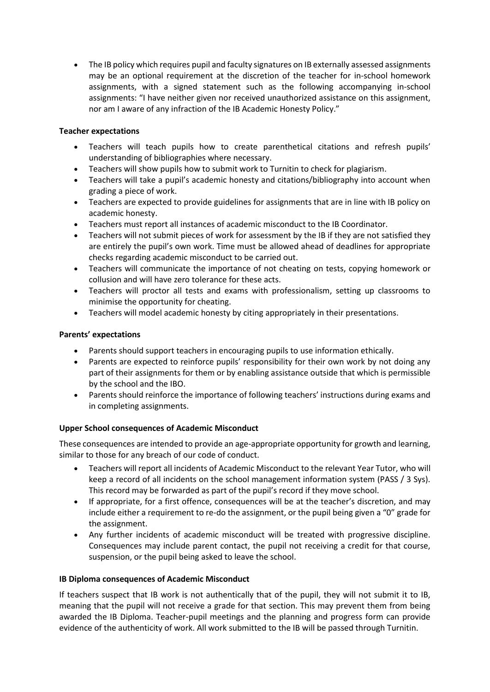The IB policy which requires pupil and faculty signatures on IB externally assessed assignments may be an optional requirement at the discretion of the teacher for in-school homework assignments, with a signed statement such as the following accompanying in-school assignments: "I have neither given nor received unauthorized assistance on this assignment, nor am I aware of any infraction of the IB Academic Honesty Policy."

## **Teacher expectations**

- Teachers will teach pupils how to create parenthetical citations and refresh pupils' understanding of bibliographies where necessary.
- Teachers will show pupils how to submit work to Turnitin to check for plagiarism.
- Teachers will take a pupil's academic honesty and citations/bibliography into account when grading a piece of work.
- Teachers are expected to provide guidelines for assignments that are in line with IB policy on academic honesty.
- Teachers must report all instances of academic misconduct to the IB Coordinator.
- Teachers will not submit pieces of work for assessment by the IB if they are not satisfied they are entirely the pupil's own work. Time must be allowed ahead of deadlines for appropriate checks regarding academic misconduct to be carried out.
- Teachers will communicate the importance of not cheating on tests, copying homework or collusion and will have zero tolerance for these acts.
- Teachers will proctor all tests and exams with professionalism, setting up classrooms to minimise the opportunity for cheating.
- Teachers will model academic honesty by citing appropriately in their presentations.

#### **Parents' expectations**

- Parents should support teachers in encouraging pupils to use information ethically.
- Parents are expected to reinforce pupils' responsibility for their own work by not doing any part of their assignments for them or by enabling assistance outside that which is permissible by the school and the IBO.
- Parents should reinforce the importance of following teachers' instructions during exams and in completing assignments.

# **Upper School consequences of Academic Misconduct**

These consequences are intended to provide an age-appropriate opportunity for growth and learning, similar to those for any breach of our code of conduct.

- Teachers will report all incidents of Academic Misconduct to the relevant Year Tutor, who will keep a record of all incidents on the school management information system (PASS / 3 Sys). This record may be forwarded as part of the pupil's record if they move school.
- If appropriate, for a first offence, consequences will be at the teacher's discretion, and may include either a requirement to re-do the assignment, or the pupil being given a "0" grade for the assignment.
- Any further incidents of academic misconduct will be treated with progressive discipline. Consequences may include parent contact, the pupil not receiving a credit for that course, suspension, or the pupil being asked to leave the school.

#### **IB Diploma consequences of Academic Misconduct**

If teachers suspect that IB work is not authentically that of the pupil, they will not submit it to IB, meaning that the pupil will not receive a grade for that section. This may prevent them from being awarded the IB Diploma. Teacher-pupil meetings and the planning and progress form can provide evidence of the authenticity of work. All work submitted to the IB will be passed through Turnitin.